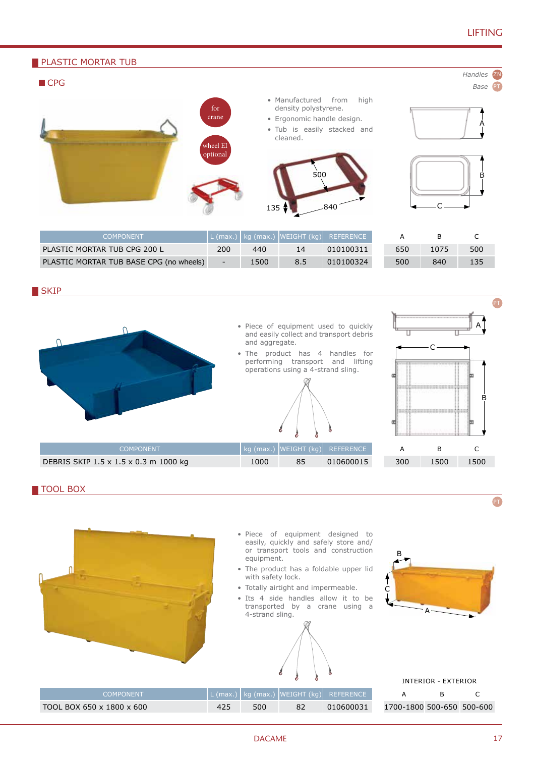# LIFTING





#### TOOL BOX



17 DACAME 17

PT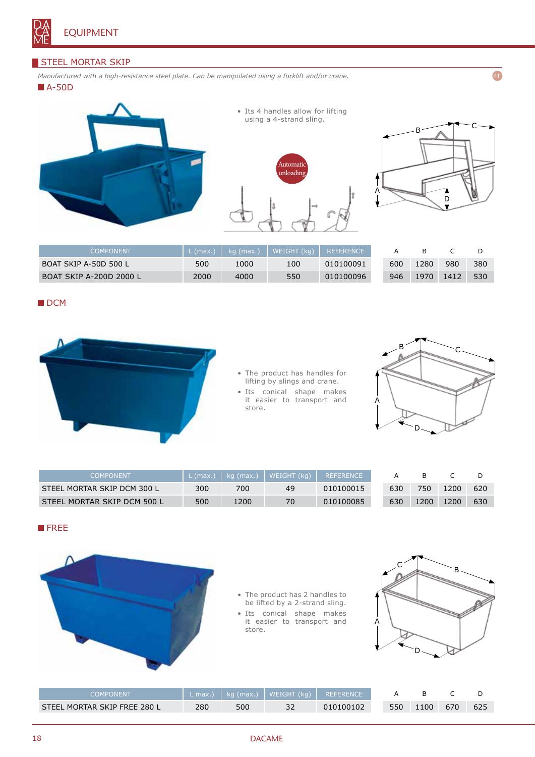

### STEEL MORTAR SKIP

*Manufactured with a high-resistance steel plate. Can be manipulated using a forklift and/or crane.*

**A-50D** 



• Its 4 handles allow for lifting using a 4-strand sling.





PT

| COMPONENT                      | $L$ (max.) | kg (max.) | $\mid$ WEIGHT (kg) $\mid$ | <b>REFERENCE</b> |     |      |      |     |
|--------------------------------|------------|-----------|---------------------------|------------------|-----|------|------|-----|
| BOAT SKIP A-50D 500 L          | 500        | 1000      | 100                       | 010100091        | 600 | 1280 | 980  | 380 |
| <b>BOAT SKIP A-200D 2000 L</b> | 2000       | 4000      | 550                       | 010100096        | 946 | 1970 | 1412 | 530 |

#### **DCM**



- The product has handles for lifting by slings and crane.
- Its conical shape makes it easier to transport and store.



| COMPONENT                   | L (max.) | $kg$ (max.) | WEIGHT (kg) | <b>REFERENCE</b> |     |      |      |     |
|-----------------------------|----------|-------------|-------------|------------------|-----|------|------|-----|
| STEEL MORTAR SKIP DCM 300 L | 300      | 700         | 49          | 010100015        | 630 | 750. | 1200 | 620 |
| STEEL MORTAR SKIP DCM 500 L | 500      | 1200        | 70          | 010100085        | 630 | 1200 | 1200 | 630 |

## **FREE**



• The product has 2 handles to be lifted by a 2-strand sling.

• Its conical shape makes it easier to transport and store.



| COMPONENT                    |     |     | L max.)   kg (max.)   WEIGHT (kg)   REFERENCE |           |     |      |     |     |
|------------------------------|-----|-----|-----------------------------------------------|-----------|-----|------|-----|-----|
| STEEL MORTAR SKIP FREE 280 L | 280 | 500 |                                               | 010100102 | 550 | 1100 | 670 | 625 |

#### 18 DACAME